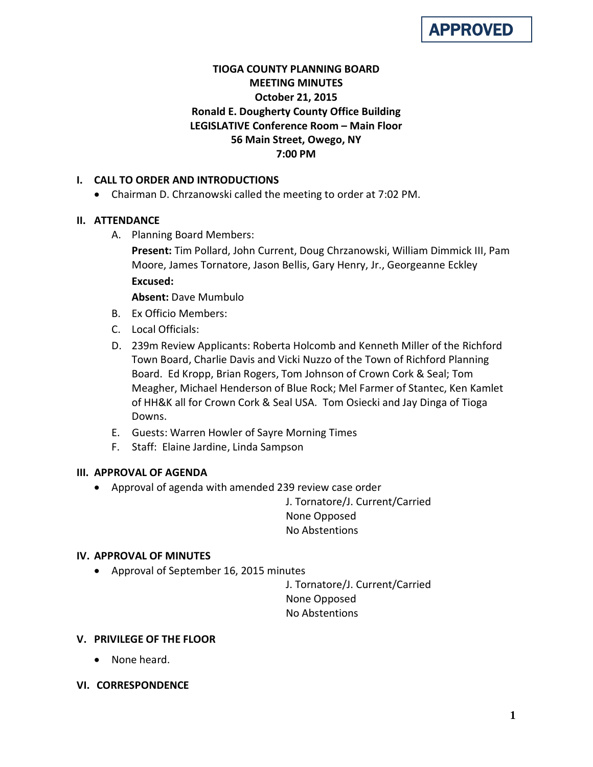# APPROVED

# **TIOGA COUNTY PLANNING BOARD MEETING MINUTES October 21, 2015 Ronald E. Dougherty County Office Building LEGISLATIVE Conference Room – Main Floor 56 Main Street, Owego, NY 7:00 PM**

# **I. CALL TO ORDER AND INTRODUCTIONS**

• Chairman D. Chrzanowski called the meeting to order at 7:02 PM.

## **II. ATTENDANCE**

A. Planning Board Members:

**Present:** Tim Pollard, John Current, Doug Chrzanowski, William Dimmick III, Pam Moore, James Tornatore, Jason Bellis, Gary Henry, Jr., Georgeanne Eckley **Excused:**

**Absent:** Dave Mumbulo

- B. Ex Officio Members:
- C. Local Officials:
- D. 239m Review Applicants: Roberta Holcomb and Kenneth Miller of the Richford Town Board, Charlie Davis and Vicki Nuzzo of the Town of Richford Planning Board. Ed Kropp, Brian Rogers, Tom Johnson of Crown Cork & Seal; Tom Meagher, Michael Henderson of Blue Rock; Mel Farmer of Stantec, Ken Kamlet of HH&K all for Crown Cork & Seal USA. Tom Osiecki and Jay Dinga of Tioga Downs.
- E. Guests: Warren Howler of Sayre Morning Times
- F. Staff: Elaine Jardine, Linda Sampson

## **III. APPROVAL OF AGENDA**

• Approval of agenda with amended 239 review case order

J. Tornatore/J. Current/Carried None Opposed No Abstentions

## **IV. APPROVAL OF MINUTES**

• Approval of September 16, 2015 minutes

J. Tornatore/J. Current/Carried None Opposed No Abstentions

## **V. PRIVILEGE OF THE FLOOR**

- None heard.
- **VI. CORRESPONDENCE**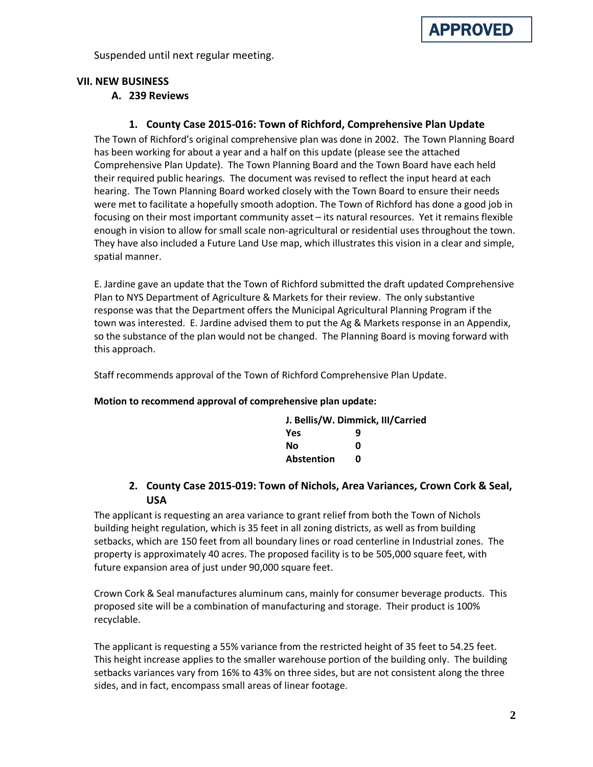

Suspended until next regular meeting.

#### **VII. NEW BUSINESS**

#### **A. 239 Reviews**

### **1. County Case 2015-016: Town of Richford, Comprehensive Plan Update**

The Town of Richford's original comprehensive plan was done in 2002. The Town Planning Board has been working for about a year and a half on this update (please see the attached Comprehensive Plan Update). The Town Planning Board and the Town Board have each held their required public hearings. The document was revised to reflect the input heard at each hearing. The Town Planning Board worked closely with the Town Board to ensure their needs were met to facilitate a hopefully smooth adoption. The Town of Richford has done a good job in focusing on their most important community asset – its natural resources. Yet it remains flexible enough in vision to allow for small scale non-agricultural or residential uses throughout the town. They have also included a Future Land Use map, which illustrates this vision in a clear and simple, spatial manner.

E. Jardine gave an update that the Town of Richford submitted the draft updated Comprehensive Plan to NYS Department of Agriculture & Markets for their review. The only substantive response was that the Department offers the Municipal Agricultural Planning Program if the town was interested. E. Jardine advised them to put the Ag & Markets response in an Appendix, so the substance of the plan would not be changed. The Planning Board is moving forward with this approach.

Staff recommends approval of the Town of Richford Comprehensive Plan Update.

#### **Motion to recommend approval of comprehensive plan update:**

| J. Bellis/W. Dimmick, III/Carried |   |  |
|-----------------------------------|---|--|
| <b>Yes</b>                        | q |  |
| Nο                                | n |  |
| Abstention                        | n |  |

## **2. County Case 2015-019: Town of Nichols, Area Variances, Crown Cork & Seal, USA**

The applicant is requesting an area variance to grant relief from both the Town of Nichols building height regulation, which is 35 feet in all zoning districts, as well as from building setbacks, which are 150 feet from all boundary lines or road centerline in Industrial zones. The property is approximately 40 acres. The proposed facility is to be 505,000 square feet, with future expansion area of just under 90,000 square feet.

Crown Cork & Seal manufactures aluminum cans, mainly for consumer beverage products. This proposed site will be a combination of manufacturing and storage. Their product is 100% recyclable.

The applicant is requesting a 55% variance from the restricted height of 35 feet to 54.25 feet. This height increase applies to the smaller warehouse portion of the building only. The building setbacks variances vary from 16% to 43% on three sides, but are not consistent along the three sides, and in fact, encompass small areas of linear footage.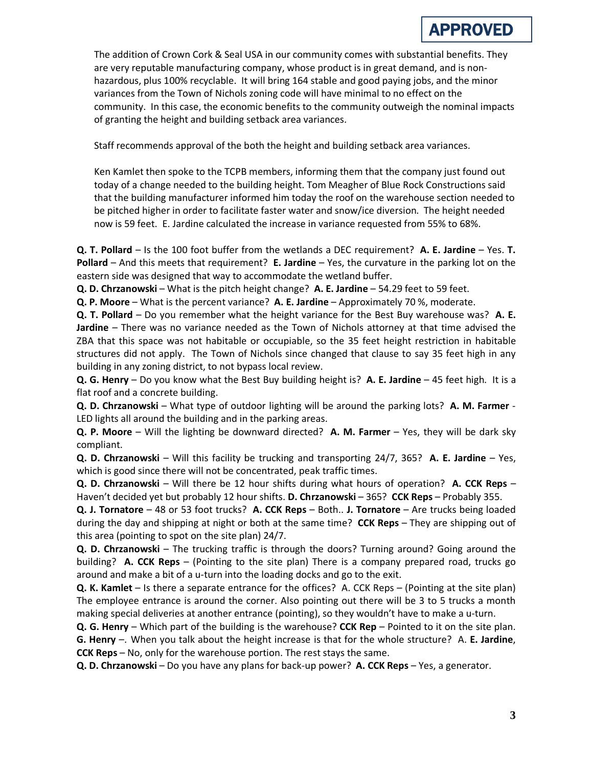The addition of Crown Cork & Seal USA in our community comes with substantial benefits. They are very reputable manufacturing company, whose product is in great demand, and is nonhazardous, plus 100% recyclable. It will bring 164 stable and good paying jobs, and the minor variances from the Town of Nichols zoning code will have minimal to no effect on the community. In this case, the economic benefits to the community outweigh the nominal impacts of granting the height and building setback area variances.

Staff recommends approval of the both the height and building setback area variances.

Ken Kamlet then spoke to the TCPB members, informing them that the company just found out today of a change needed to the building height. Tom Meagher of Blue Rock Constructions said that the building manufacturer informed him today the roof on the warehouse section needed to be pitched higher in order to facilitate faster water and snow/ice diversion. The height needed now is 59 feet. E. Jardine calculated the increase in variance requested from 55% to 68%.

**Q. T. Pollard** – Is the 100 foot buffer from the wetlands a DEC requirement? **A. E. Jardine** – Yes. **T. Pollard** – And this meets that requirement? **E. Jardine** – Yes, the curvature in the parking lot on the eastern side was designed that way to accommodate the wetland buffer.

**Q. D. Chrzanowski** – What is the pitch height change? **A. E. Jardine** – 54.29 feet to 59 feet.

**Q. P. Moore** – What is the percent variance? **A. E. Jardine** – Approximately 70 %, moderate.

**Q. T. Pollard** – Do you remember what the height variance for the Best Buy warehouse was? **A. E. Jardine** – There was no variance needed as the Town of Nichols attorney at that time advised the ZBA that this space was not habitable or occupiable, so the 35 feet height restriction in habitable structures did not apply. The Town of Nichols since changed that clause to say 35 feet high in any building in any zoning district, to not bypass local review.

**Q. G. Henry** – Do you know what the Best Buy building height is? **A. E. Jardine** – 45 feet high. It is a flat roof and a concrete building.

**Q. D. Chrzanowski** – What type of outdoor lighting will be around the parking lots? **A. M. Farmer** - LED lights all around the building and in the parking areas.

**Q. P. Moore** – Will the lighting be downward directed? **A. M. Farmer** – Yes, they will be dark sky compliant.

**Q. D. Chrzanowski** – Will this facility be trucking and transporting 24/7, 365? **A. E. Jardine** – Yes, which is good since there will not be concentrated, peak traffic times.

**Q. D. Chrzanowski** – Will there be 12 hour shifts during what hours of operation? **A. CCK Reps** – Haven't decided yet but probably 12 hour shifts. **D. Chrzanowski** – 365? **CCK Reps** – Probably 355.

**Q. J. Tornatore** – 48 or 53 foot trucks? **A. CCK Reps** – Both.. **J. Tornatore** – Are trucks being loaded during the day and shipping at night or both at the same time? **CCK Reps** – They are shipping out of this area (pointing to spot on the site plan) 24/7.

**Q. D. Chrzanowski** – The trucking traffic is through the doors? Turning around? Going around the building? **A. CCK Reps** – (Pointing to the site plan) There is a company prepared road, trucks go around and make a bit of a u-turn into the loading docks and go to the exit.

**Q. K. Kamlet** – Is there a separate entrance for the offices? A. CCK Reps – (Pointing at the site plan) The employee entrance is around the corner. Also pointing out there will be 3 to 5 trucks a month making special deliveries at another entrance (pointing), so they wouldn't have to make a u-turn.

**Q. G. Henry** – Which part of the building is the warehouse? **CCK Rep** – Pointed to it on the site plan. **G. Henry** –. When you talk about the height increase is that for the whole structure? A. **E. Jardine**, **CCK Reps** – No, only for the warehouse portion. The rest stays the same.

**Q. D. Chrzanowski** – Do you have any plans for back-up power? **A. CCK Reps** – Yes, a generator.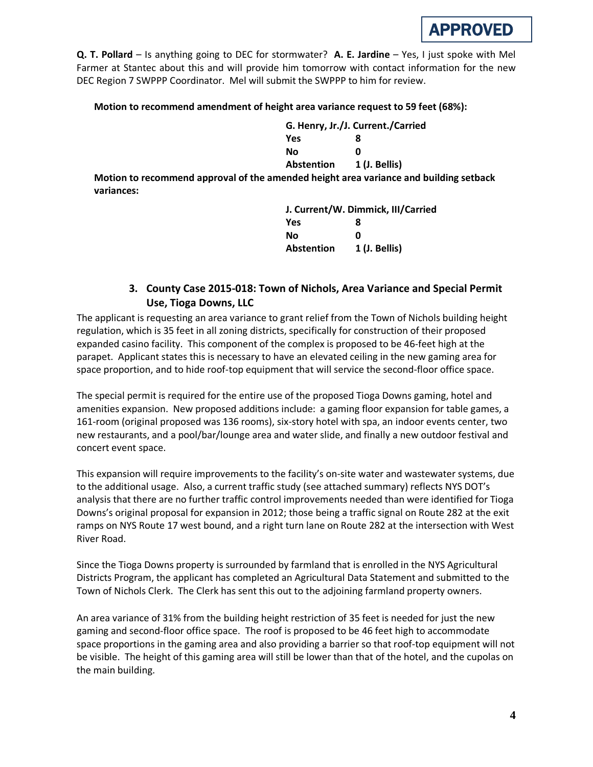**Q. T. Pollard** – Is anything going to DEC for stormwater? **A. E. Jardine** – Yes, I just spoke with Mel Farmer at Stantec about this and will provide him tomorrow with contact information for the new DEC Region 7 SWPPP Coordinator. Mel will submit the SWPPP to him for review.

#### **Motion to recommend amendment of height area variance request to 59 feet (68%):**

**G. Henry, Jr./J. Current./Carried Yes 8 No 0 Abstention 1 (J. Bellis)**

**Motion to recommend approval of the amended height area variance and building setback variances:**

> **J. Current/W. Dimmick, III/Carried Yes 8 No 0 Abstention 1 (J. Bellis)**

# **3. County Case 2015-018: Town of Nichols, Area Variance and Special Permit Use, Tioga Downs, LLC**

The applicant is requesting an area variance to grant relief from the Town of Nichols building height regulation, which is 35 feet in all zoning districts, specifically for construction of their proposed expanded casino facility. This component of the complex is proposed to be 46-feet high at the parapet. Applicant states this is necessary to have an elevated ceiling in the new gaming area for space proportion, and to hide roof-top equipment that will service the second-floor office space.

The special permit is required for the entire use of the proposed Tioga Downs gaming, hotel and amenities expansion. New proposed additions include: a gaming floor expansion for table games, a 161-room (original proposed was 136 rooms), six-story hotel with spa, an indoor events center, two new restaurants, and a pool/bar/lounge area and water slide, and finally a new outdoor festival and concert event space.

This expansion will require improvements to the facility's on-site water and wastewater systems, due to the additional usage. Also, a current traffic study (see attached summary) reflects NYS DOT's analysis that there are no further traffic control improvements needed than were identified for Tioga Downs's original proposal for expansion in 2012; those being a traffic signal on Route 282 at the exit ramps on NYS Route 17 west bound, and a right turn lane on Route 282 at the intersection with West River Road.

Since the Tioga Downs property is surrounded by farmland that is enrolled in the NYS Agricultural Districts Program, the applicant has completed an Agricultural Data Statement and submitted to the Town of Nichols Clerk. The Clerk has sent this out to the adjoining farmland property owners.

An area variance of 31% from the building height restriction of 35 feet is needed for just the new gaming and second-floor office space. The roof is proposed to be 46 feet high to accommodate space proportions in the gaming area and also providing a barrier so that roof-top equipment will not be visible. The height of this gaming area will still be lower than that of the hotel, and the cupolas on the main building.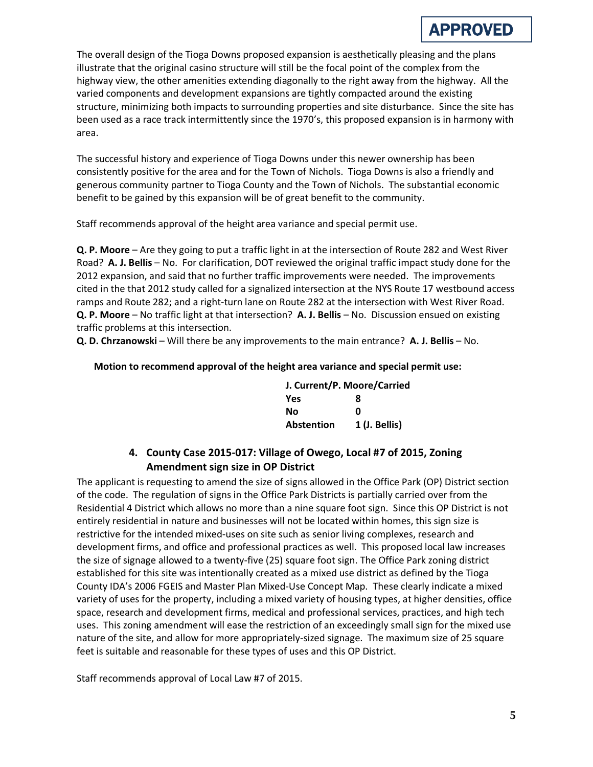The overall design of the Tioga Downs proposed expansion is aesthetically pleasing and the plans illustrate that the original casino structure will still be the focal point of the complex from the highway view, the other amenities extending diagonally to the right away from the highway. All the varied components and development expansions are tightly compacted around the existing structure, minimizing both impacts to surrounding properties and site disturbance. Since the site has been used as a race track intermittently since the 1970's, this proposed expansion is in harmony with area.

The successful history and experience of Tioga Downs under this newer ownership has been consistently positive for the area and for the Town of Nichols. Tioga Downs is also a friendly and generous community partner to Tioga County and the Town of Nichols. The substantial economic benefit to be gained by this expansion will be of great benefit to the community.

Staff recommends approval of the height area variance and special permit use.

**Q. P. Moore** – Are they going to put a traffic light in at the intersection of Route 282 and West River Road? **A. J. Bellis** – No. For clarification, DOT reviewed the original traffic impact study done for the 2012 expansion, and said that no further traffic improvements were needed. The improvements cited in the that 2012 study called for a signalized intersection at the NYS Route 17 westbound access ramps and Route 282; and a right-turn lane on Route 282 at the intersection with West River Road. **Q. P. Moore** – No traffic light at that intersection? **A. J. Bellis** – No. Discussion ensued on existing traffic problems at this intersection.

**Q. D. Chrzanowski** – Will there be any improvements to the main entrance? **A. J. Bellis** – No.

#### **Motion to recommend approval of the height area variance and special permit use:**

| J. Current/P. Moore/Carried |               |
|-----------------------------|---------------|
| Yes                         | 8             |
| Nο                          | n             |
| <b>Abstention</b>           | 1 (J. Bellis) |

# **4. County Case 2015-017: Village of Owego, Local #7 of 2015, Zoning Amendment sign size in OP District**

The applicant is requesting to amend the size of signs allowed in the Office Park (OP) District section of the code. The regulation of signs in the Office Park Districts is partially carried over from the Residential 4 District which allows no more than a nine square foot sign. Since this OP District is not entirely residential in nature and businesses will not be located within homes, this sign size is restrictive for the intended mixed-uses on site such as senior living complexes, research and development firms, and office and professional practices as well. This proposed local law increases the size of signage allowed to a twenty-five (25) square foot sign. The Office Park zoning district established for this site was intentionally created as a mixed use district as defined by the Tioga County IDA's 2006 FGEIS and Master Plan Mixed-Use Concept Map. These clearly indicate a mixed variety of uses for the property, including a mixed variety of housing types, at higher densities, office space, research and development firms, medical and professional services, practices, and high tech uses. This zoning amendment will ease the restriction of an exceedingly small sign for the mixed use nature of the site, and allow for more appropriately-sized signage. The maximum size of 25 square feet is suitable and reasonable for these types of uses and this OP District.

Staff recommends approval of Local Law #7 of 2015.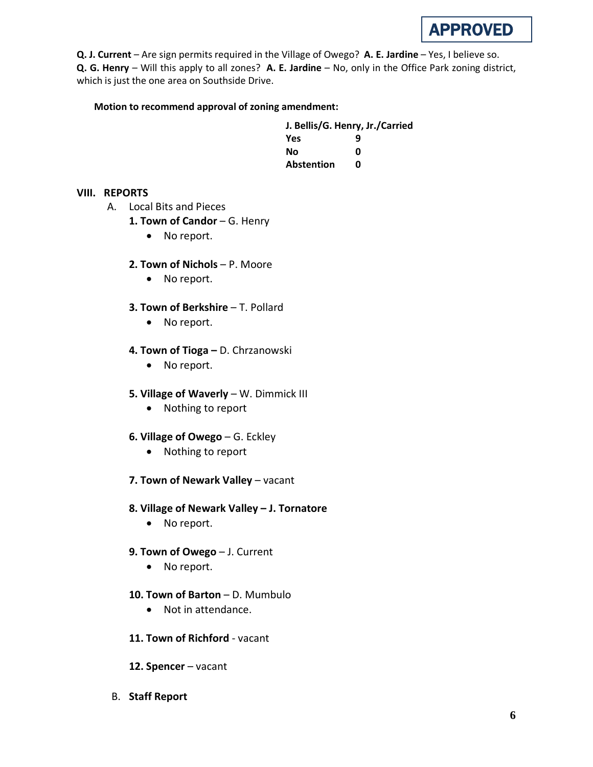**Q. J. Current** – Are sign permits required in the Village of Owego? **A. E. Jardine** – Yes, I believe so. **Q. G. Henry** – Will this apply to all zones? **A. E. Jardine** – No, only in the Office Park zoning district, which is just the one area on Southside Drive.

## **Motion to recommend approval of zoning amendment:**

| J. Bellis/G. Henry, Jr./Carried |   |  |
|---------------------------------|---|--|
| <b>Yes</b>                      | q |  |
| Nο                              | n |  |
| Abstention                      | n |  |

## **VIII. REPORTS**

- A. Local Bits and Pieces
	- 1. Town of Candor G. Henry
		- No report.
	- **2. Town of Nichols**  P. Moore
		- No report.
	- **3. Town of Berkshire**  T. Pollard
		- No report.
	- **4. Town of Tioga –** D. Chrzanowski
		- No report.
	- **5. Village of Waverly** W. Dimmick III
		- Nothing to report
	- **6. Village of Owego** G. Eckley
		- Nothing to report
	- **7. Town of Newark Valley** vacant
	- **8. Village of Newark Valley – J. Tornatore**
		- No report.
	- **9. Town of Owego** J. Current
		- No report.
	- **10. Town of Barton** D. Mumbulo
		- Not in attendance.
	- **11. Town of Richford** vacant
	- **12. Spencer** vacant
- B. **Staff Report**